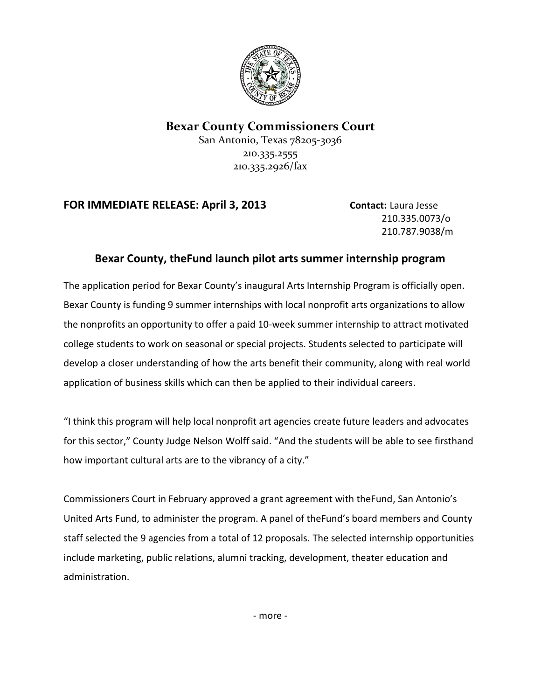

## **Bexar County Commissioners Court**

San Antonio, Texas 78205-3036 210.335.2555 210.335.2926/fax

## **FOR IMMEDIATE RELEASE: April 3, 2013 Contact:** Laura Jesse

210.335.0073/o 210.787.9038/m

## **Bexar County, theFund launch pilot arts summer internship program**

The application period for Bexar County's inaugural Arts Internship Program is officially open. Bexar County is funding 9 summer internships with local nonprofit arts organizations to allow the nonprofits an opportunity to offer a paid 10-week summer internship to attract motivated college students to work on seasonal or special projects. Students selected to participate will develop a closer understanding of how the arts benefit their community, along with real world application of business skills which can then be applied to their individual careers.

"I think this program will help local nonprofit art agencies create future leaders and advocates for this sector," County Judge Nelson Wolff said. "And the students will be able to see firsthand how important cultural arts are to the vibrancy of a city."

Commissioners Court in February approved a grant agreement with theFund, San Antonio's United Arts Fund, to administer the program. A panel of theFund's board members and County staff selected the 9 agencies from a total of 12 proposals. The selected internship opportunities include marketing, public relations, alumni tracking, development, theater education and administration.

- more -